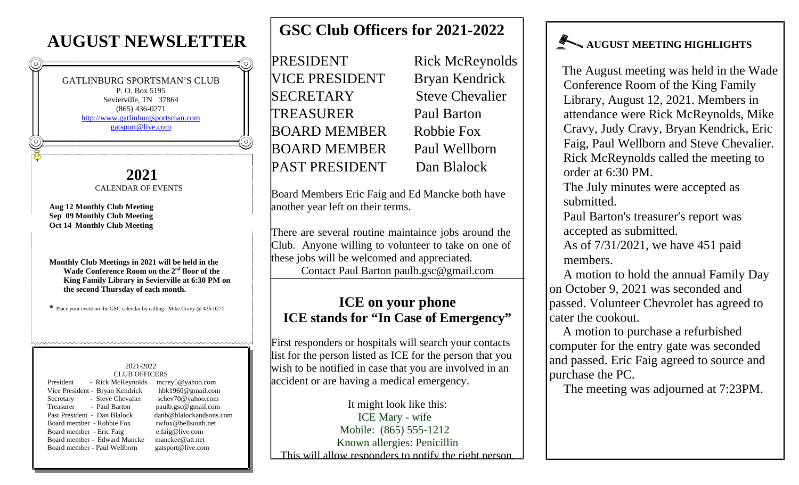# **AUGUST NEWSLETTER**

GATLINBURG SPORTSMAN'S CLUB P. O. Box 5195 Sevierville, TN 37864 (865) 436-0271 http://www.gatlinburgsportsman.com gatsport@live.com

#### **2021** CALENDAR OF EVENTS

**Aug 12 Monthly Club Meeting Sep 09 Monthly Club Meeting Oct 14 Monthly Club Meeting**

**Monthly Club Meetings in 2021 will be held in the Wade Conference Room on the 2nd floor of the King Family Library in Sevierville at 6:30 PM on the second Thursday of each month.**

**\*** Place your event on the GSC calendar by calling Mike Cravy @ 436-0271

#### 2021-2022 CLUB OFFICERS

| CLUD OI LIGLING           |                                 |                         |
|---------------------------|---------------------------------|-------------------------|
| President                 | - Rick McReynolds               | mcrey5@yahoo.com        |
|                           | Vice President - Bryan Kendrick | hbk1960@gmail.com       |
| Secretary                 | - Steve Chevalier               | schev70@yahoo.com       |
| Treasurer                 | - Paul Barton                   | paulb.gsc@gmail.com     |
|                           | Past President - Dan Blalock    | danb@blalockandsons.com |
| Board member - Robbie Fox |                                 | rwfox@bellsouth.net     |
| Board member - Eric Faig  |                                 | e.faig@live.com         |
|                           | Board member - Edward Mancke    | manckee@att.net         |
|                           | Board member - Paul Wellborn    | gatsport@live.com       |
|                           |                                 |                         |

# **GSC Club Officers for 2021-2022**

PRESIDENT Rick McReynolds VICE PRESIDENT Bryan Kendrick SECRETARY Steve Chevalier TREASURER Paul Barton BOARD MEMBER Robbie Fox BOARD MEMBER Paul Wellborn PAST PRESIDENT Dan Blalock

Board Members Eric Faig and Ed Mancke both have another year left on their terms.

There are several routine maintaince jobs around the Club. Anyone willing to volunteer to take on one of these jobs will be welcomed and appreciated. Contact Paul Barton paulb.gsc@gmail.com

### **ICE on your phone ICE stands for "In Case of Emergency"**

First responders or hospitals will search your contacts list for the person listed as ICE for the person that you wish to be notified in case that you are involved in an accident or are having a medical emergency.

It might look like this: ICE Mary - wife Mobile: (865) 555-1212 Known allergies: Penicillin This will allow responders to notify the right person.

## **AUGUST MEETING HIGHLIGHTS**

The August meeting was held in the Wade Conference Room of the King Family Library, August 12, 2021. Members in attendance were Rick McReynolds, Mike Cravy, Judy Cravy, Bryan Kendrick, Eric Faig, Paul Wellborn and Steve Chevalier. Rick McReynolds called the meeting to order at 6:30 PM.

The July minutes were accepted as submitted.

Paul Barton's treasurer's report was accepted as submitted.

As of 7/31/2021, we have 451 paid members.

A motion to hold the annual Family Day on October 9, 2021 was seconded and passed. Volunteer Chevrolet has agreed to cater the cookout.

A motion to purchase a refurbished computer for the entry gate was seconded and passed. Eric Faig agreed to source and purchase the PC.

The meeting was adjourned at 7:23PM.